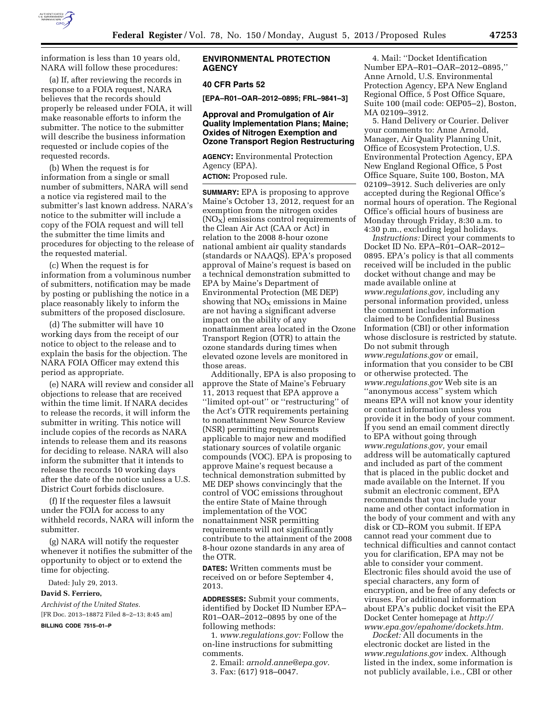

information is less than 10 years old, NARA will follow these procedures:

(a) If, after reviewing the records in response to a FOIA request, NARA believes that the records should properly be released under FOIA, it will make reasonable efforts to inform the submitter. The notice to the submitter will describe the business information requested or include copies of the requested records.

(b) When the request is for information from a single or small number of submitters, NARA will send a notice via registered mail to the submitter's last known address. NARA's notice to the submitter will include a copy of the FOIA request and will tell the submitter the time limits and procedures for objecting to the release of the requested material.

(c) When the request is for information from a voluminous number of submitters, notification may be made by posting or publishing the notice in a place reasonably likely to inform the submitters of the proposed disclosure.

(d) The submitter will have 10 working days from the receipt of our notice to object to the release and to explain the basis for the objection. The NARA FOIA Officer may extend this period as appropriate.

(e) NARA will review and consider all objections to release that are received within the time limit. If NARA decides to release the records, it will inform the submitter in writing. This notice will include copies of the records as NARA intends to release them and its reasons for deciding to release. NARA will also inform the submitter that it intends to release the records 10 working days after the date of the notice unless a U.S. District Court forbids disclosure.

(f) If the requester files a lawsuit under the FOIA for access to any withheld records, NARA will inform the submitter.

(g) NARA will notify the requester whenever it notifies the submitter of the opportunity to object or to extend the time for objecting.

Dated: July 29, 2013.

### **David S. Ferriero,**

*Archivist of the United States.*  [FR Doc. 2013–18872 Filed 8–2–13; 8:45 am]

**BILLING CODE 7515–01–P** 

# **ENVIRONMENTAL PROTECTION AGENCY**

## **40 CFR Parts 52**

**[EPA–R01–OAR–2012–0895; FRL–9841–3]** 

# **Approval and Promulgation of Air Quality Implementation Plans; Maine; Oxides of Nitrogen Exemption and Ozone Transport Region Restructuring**

**AGENCY:** Environmental Protection Agency (EPA).

**ACTION:** Proposed rule.

**SUMMARY:** EPA is proposing to approve Maine's October 13, 2012, request for an exemption from the nitrogen oxides  $(NO<sub>X</sub>)$  emissions control requirements of the Clean Air Act (CAA or Act) in relation to the 2008 8-hour ozone national ambient air quality standards (standards or NAAQS). EPA's proposed approval of Maine's request is based on a technical demonstration submitted to EPA by Maine's Department of Environmental Protection (ME DEP) showing that  $NO<sub>X</sub>$  emissions in Maine are not having a significant adverse impact on the ability of any nonattainment area located in the Ozone Transport Region (OTR) to attain the ozone standards during times when elevated ozone levels are monitored in those areas.

Additionally, EPA is also proposing to approve the State of Maine's February 11, 2013 request that EPA approve a ''limited opt-out'' or ''restructuring'' of the Act's OTR requirements pertaining to nonattainment New Source Review (NSR) permitting requirements applicable to major new and modified stationary sources of volatile organic compounds (VOC). EPA is proposing to approve Maine's request because a technical demonstration submitted by ME DEP shows convincingly that the control of VOC emissions throughout the entire State of Maine through implementation of the VOC nonattainment NSR permitting requirements will not significantly contribute to the attainment of the 2008 8-hour ozone standards in any area of the OTR.

**DATES:** Written comments must be received on or before September 4, 2013.

**ADDRESSES:** Submit your comments, identified by Docket ID Number EPA– R01–OAR–2012–0895 by one of the following methods:

1. *[www.regulations.gov:](http://www.regulations.gov)* Follow the on-line instructions for submitting comments.

- 2. Email: *[arnold.anne@epa.gov.](mailto:arnold.anne@epa.gov)*
- 3. Fax: (617) 918–0047.

4. Mail: ''Docket Identification Number EPA–R01–OAR–2012–0895,'' Anne Arnold, U.S. Environmental Protection Agency, EPA New England Regional Office, 5 Post Office Square, Suite 100 (mail code: OEP05–2), Boston, MA 02109–3912.

5. Hand Delivery or Courier. Deliver your comments to: Anne Arnold, Manager, Air Quality Planning Unit, Office of Ecosystem Protection, U.S. Environmental Protection Agency, EPA New England Regional Office, 5 Post Office Square, Suite 100, Boston, MA 02109–3912. Such deliveries are only accepted during the Regional Office's normal hours of operation. The Regional Office's official hours of business are Monday through Friday, 8:30 a.m. to 4:30 p.m., excluding legal holidays.

*Instructions:* Direct your comments to Docket ID No. EPA–R01–OAR–2012– 0895. EPA's policy is that all comments received will be included in the public docket without change and may be made available online at *[www.regulations.gov,](http://www.regulations.gov)* including any personal information provided, unless the comment includes information claimed to be Confidential Business Information (CBI) or other information whose disclosure is restricted by statute. Do not submit through *[www.regulations.gov](http://www.regulations.gov)* or email, information that you consider to be CBI or otherwise protected. The *[www.regulations.gov](http://www.regulations.gov)* Web site is an ''anonymous access'' system which means EPA will not know your identity or contact information unless you provide it in the body of your comment. If you send an email comment directly to EPA without going through *[www.regulations.gov,](http://www.regulations.gov)* your email address will be automatically captured and included as part of the comment that is placed in the public docket and made available on the Internet. If you submit an electronic comment, EPA recommends that you include your name and other contact information in the body of your comment and with any disk or CD–ROM you submit. If EPA cannot read your comment due to technical difficulties and cannot contact you for clarification, EPA may not be able to consider your comment. Electronic files should avoid the use of special characters, any form of encryption, and be free of any defects or viruses. For additional information about EPA's public docket visit the EPA Docket Center homepage at *[http://](http://www.epa.gov/epahome/dockets.htm) [www.epa.gov/epahome/dockets.htm.](http://www.epa.gov/epahome/dockets.htm)* 

*Docket:* All documents in the electronic docket are listed in the *[www.regulations.gov](http://www.regulations.gov)* index. Although listed in the index, some information is not publicly available, i.e., CBI or other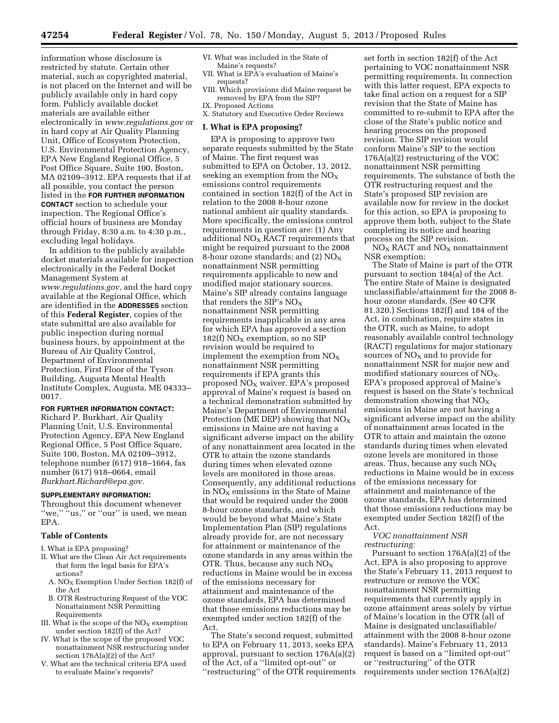information whose disclosure is restricted by statute. Certain other material, such as copyrighted material, is not placed on the Internet and will be publicly available only in hard copy form. Publicly available docket materials are available either electronically in *[www.regulations.gov](http://www.regulations.gov)* or in hard copy at Air Quality Planning Unit, Office of Ecosystem Protection, U.S. Environmental Protection Agency, EPA New England Regional Office, 5 Post Office Square, Suite 100, Boston, MA 02109–3912. EPA requests that if at all possible, you contact the person listed in the **FOR FURTHER INFORMATION CONTACT** section to schedule your inspection. The Regional Office's official hours of business are Monday through Friday, 8:30 a.m. to 4:30 p.m., excluding legal holidays.

In addition to the publicly available docket materials available for inspection electronically in the Federal Docket Management System at *[www.regulations.gov,](http://www.regulations.gov)* and the hard copy available at the Regional Office, which are identified in the **ADDRESSES** section of this **Federal Register**, copies of the state submittal are also available for public inspection during normal business hours, by appointment at the Bureau of Air Quality Control, Department of Environmental Protection, First Floor of the Tyson Building, Augusta Mental Health Institute Complex, Augusta, ME 04333– 0017.

**FOR FURTHER INFORMATION CONTACT:** 

Richard P. Burkhart, Air Quality Planning Unit, U.S. Environmental Protection Agency, EPA New England Regional Office, 5 Post Office Square, Suite 100, Boston, MA 02109–3912, telephone number (617) 918–1664, fax number (617) 918–0664, email *[Burkhart.Richard@epa.gov.](mailto:Burkhart.Richard@epa.gov)* 

#### **SUPPLEMENTARY INFORMATION:**

Throughout this document whenever "we," "us," or "our" is used, we mean EPA.

#### **Table of Contents**

I. What is EPA proposing?

- II. What are the Clean Air Act requirements that form the legal basis for EPA's actions?
	- A. NO<sub>X</sub> Exemption Under Section 182(f) of the Act
	- B. OTR Restructuring Request of the VOC Nonattainment NSR Permitting Requirements
- III. What is the scope of the  $NO<sub>X</sub>$  exemption under section 182(f) of the Act?
- IV. What is the scope of the proposed VOC nonattainment NSR restructuring under section 176A(a)(2) of the Act?
- V. What are the technical criteria EPA used to evaluate Maine's requests?
- VI. What was included in the State of Maine's requests?
- VII. What is EPA's evaluation of Maine's requests?
- VIII. Which provisions did Maine request be removed by EPA from the SIP?
- IX. Proposed Actions
- X. Statutory and Executive Order Reviews

# **I. What is EPA proposing?**

EPA is proposing to approve two separate requests submitted by the State of Maine. The first request was submitted to EPA on October, 13, 2012, seeking an exemption from the  $NO<sub>x</sub>$ emissions control requirements contained in section 182(f) of the Act in relation to the 2008 8-hour ozone national ambient air quality standards. More specifically, the emissions control requirements in question are: (1) Any additional  $NO<sub>x</sub>$  RACT requirements that might be required pursuant to the 2008 8-hour ozone standards; and (2)  $NO_X$ nonattainment NSR permitting requirements applicable to new and modified major stationary sources. Maine's SIP already contains language that renders the SIP's  $NO<sub>x</sub>$ nonattainment NSR permitting requirements inapplicable in any area for which EPA has approved a section 182(f)  $NO<sub>X</sub>$  exemption, so no SIP revision would be required to implement the exemption from  $NO<sub>x</sub>$ nonattainment NSR permitting requirements if EPA grants this proposed  $NO<sub>X</sub>$  waiver. EPA's proposed approval of Maine's request is based on a technical demonstration submitted by Maine's Department of Environmental Protection (ME DEP) showing that  $NO_X$ emissions in Maine are not having a significant adverse impact on the ability of any nonattainment area located in the OTR to attain the ozone standards during times when elevated ozone levels are monitored in those areas. Consequently, any additional reductions in  $NO<sub>x</sub>$  emissions in the State of Maine that would be required under the 2008 8-hour ozone standards, and which would be beyond what Maine's State Implementation Plan (SIP) regulations already provide for, are not necessary for attainment or maintenance of the ozone standards in any areas within the OTR. Thus, because any such  $NO<sub>x</sub>$ reductions in Maine would be in excess of the emissions necessary for attainment and maintenance of the ozone standards, EPA has determined that those emissions reductions may be exempted under section 182(f) of the Act.

The State's second request, submitted to EPA on February 11, 2013, seeks EPA approval, pursuant to section 176A(a)(2) of the Act, of a ''limited opt-out'' or ''restructuring'' of the OTR requirements

set forth in section 182(f) of the Act pertaining to VOC nonattainment NSR permitting requirements. In connection with this latter request, EPA expects to take final action on a request for a SIP revision that the State of Maine has committed to re-submit to EPA after the close of the State's public notice and hearing process on the proposed revision. The SIP revision would conform Maine's SIP to the section 176A(a)(2) restructuring of the VOC nonattainment NSR permitting requirements. The substance of both the OTR restructuring request and the State's proposed SIP revision are available now for review in the docket for this action, so EPA is proposing to approve them both, subject to the State completing its notice and hearing process on the SIP revision.

 $NO<sub>X</sub>$  RACT and  $NO<sub>X</sub>$  nonattainment NSR exemption:

The State of Maine is part of the OTR pursuant to section 184(a) of the Act. The entire State of Maine is designated unclassifiable/attainment for the 2008 8 hour ozone standards. (See 40 CFR 81.320.) Sections 182(f) and 184 of the Act, in combination, require states in the OTR, such as Maine, to adopt reasonably available control technology (RACT) regulations for major stationary sources of  $NO<sub>X</sub>$  and to provide for nonattainment NSR for major new and modified stationary sources of  $NO<sub>x</sub>$ . EPA's proposed approval of Maine's request is based on the State's technical demonstration showing that  $NO<sub>x</sub>$ emissions in Maine are not having a significant adverse impact on the ability of nonattainment areas located in the OTR to attain and maintain the ozone standards during times when elevated ozone levels are monitored in those areas. Thus, because any such  $NO<sub>X</sub>$ reductions in Maine would be in excess of the emissions necessary for attainment and maintenance of the ozone standards, EPA has determined that those emissions reductions may be exempted under Section 182(f) of the Act.

#### *VOC nonattainment NSR restructuring:*

Pursuant to section 176A(a)(2) of the Act, EPA is also proposing to approve the State's February 11, 2013 request to restructure or remove the VOC nonattainment NSR permitting requirements that currently apply in ozone attainment areas solely by virtue of Maine's location in the OTR (all of Maine is designated unclassifiable/ attainment with the 2008 8-hour ozone standards). Maine's February 11, 2013 request is based on a ''limited opt-out'' or ''restructuring'' of the OTR requirements under section 176A(a)(2)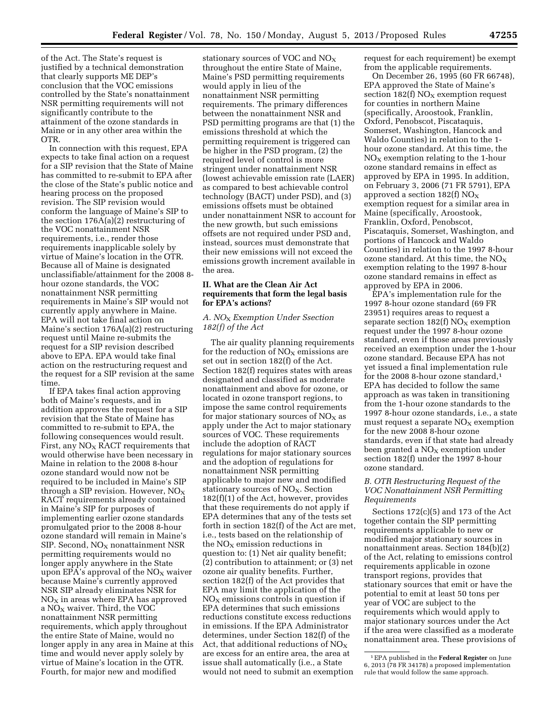of the Act. The State's request is justified by a technical demonstration that clearly supports ME DEP's conclusion that the VOC emissions controlled by the State's nonattainment NSR permitting requirements will not significantly contribute to the attainment of the ozone standards in Maine or in any other area within the OTR.

In connection with this request, EPA expects to take final action on a request for a SIP revision that the State of Maine has committed to re-submit to EPA after the close of the State's public notice and hearing process on the proposed revision. The SIP revision would conform the language of Maine's SIP to the section 176A(a)(2) restructuring of the VOC nonattainment NSR requirements, i.e., render those requirements inapplicable solely by virtue of Maine's location in the OTR. Because all of Maine is designated unclassifiable/attainment for the 2008 8 hour ozone standards, the VOC nonattainment NSR permitting requirements in Maine's SIP would not currently apply anywhere in Maine. EPA will not take final action on Maine's section 176A(a)(2) restructuring request until Maine re-submits the request for a SIP revision described above to EPA. EPA would take final action on the restructuring request and the request for a SIP revision at the same time.

If EPA takes final action approving both of Maine's requests, and in addition approves the request for a SIP revision that the State of Maine has committed to re-submit to EPA, the following consequences would result. First, any  $NO<sub>x</sub>$  RACT requirements that would otherwise have been necessary in Maine in relation to the 2008 8-hour ozone standard would now not be required to be included in Maine's SIP through a SIP revision. However,  $NO<sub>x</sub>$ RACT requirements already contained in Maine's SIP for purposes of implementing earlier ozone standards promulgated prior to the 2008 8-hour ozone standard will remain in Maine's  $SIP.$  Second,  $NO<sub>X</sub>$  nonattainment NSR permitting requirements would no longer apply anywhere in the State upon EPA's approval of the  $NO<sub>x</sub>$  waiver because Maine's currently approved NSR SIP already eliminates NSR for  $NO<sub>x</sub>$  in areas where EPA has approved a  $NO<sub>X</sub>$  waiver. Third, the VOC nonattainment NSR permitting requirements, which apply throughout the entire State of Maine, would no longer apply in any area in Maine at this time and would never apply solely by virtue of Maine's location in the OTR. Fourth, for major new and modified

stationary sources of VOC and  $NO<sub>x</sub>$ throughout the entire State of Maine, Maine's PSD permitting requirements would apply in lieu of the nonattainment NSR permitting requirements. The primary differences between the nonattainment NSR and PSD permitting programs are that (1) the emissions threshold at which the permitting requirement is triggered can be higher in the PSD program, (2) the required level of control is more stringent under nonattainment NSR (lowest achievable emission rate (LAER) as compared to best achievable control technology (BACT) under PSD), and (3) emissions offsets must be obtained under nonattainment NSR to account for the new growth, but such emissions offsets are not required under PSD and, instead, sources must demonstrate that their new emissions will not exceed the emissions growth increment available in the area.

# **II. What are the Clean Air Act requirements that form the legal basis for EPA's actions?**

# *A. NO*X *Exemption Under Ssection 182(f) of the Act*

The air quality planning requirements for the reduction of  $NO<sub>x</sub>$  emissions are set out in section 182(f) of the Act. Section 182(f) requires states with areas designated and classified as moderate nonattainment and above for ozone, or located in ozone transport regions, to impose the same control requirements for major stationary sources of  $NO<sub>X</sub>$  as apply under the Act to major stationary sources of VOC. These requirements include the adoption of RACT regulations for major stationary sources and the adoption of regulations for nonattainment NSR permitting applicable to major new and modified stationary sources of  $NO<sub>X</sub>$ . Section 182(f)(1) of the Act, however, provides that these requirements do not apply if EPA determines that any of the tests set forth in section 182(f) of the Act are met, i.e., tests based on the relationship of the  $NO<sub>x</sub>$  emission reductions in question to: (1) Net air quality benefit; (2) contribution to attainment; or (3) net ozone air quality benefits. Further, section 182(f) of the Act provides that EPA may limit the application of the  $NO<sub>X</sub>$  emissions controls in question if EPA determines that such emissions reductions constitute excess reductions in emissions. If the EPA Administrator determines, under Section 182(f) of the Act, that additional reductions of  $NO<sub>X</sub>$ are excess for an entire area, the area at issue shall automatically (i.e., a State would not need to submit an exemption

request for each requirement) be exempt from the applicable requirements.

On December 26, 1995 (60 FR 66748), EPA approved the State of Maine's section 182(f)  $NO<sub>X</sub>$  exemption request for counties in northern Maine (specifically, Aroostook, Franklin, Oxford, Penobscot, Piscataquis, Somerset, Washington, Hancock and Waldo Counties) in relation to the 1 hour ozone standard. At this time, the  $NO<sub>x</sub>$  exemption relating to the 1-hour ozone standard remains in effect as approved by EPA in 1995. In addition, on February 3, 2006 (71 FR 5791), EPA approved a section  $182(f)$  NO<sub>X</sub> exemption request for a similar area in Maine (specifically, Aroostook, Franklin, Oxford, Penobscot, Piscataquis, Somerset, Washington, and portions of Hancock and Waldo Counties) in relation to the 1997 8-hour ozone standard. At this time, the  $NO<sub>X</sub>$ exemption relating to the 1997 8-hour ozone standard remains in effect as approved by EPA in 2006.

EPA's implementation rule for the 1997 8-hour ozone standard (69 FR 23951) requires areas to request a separate section  $182(f) NO<sub>X</sub>$  exemption request under the 1997 8-hour ozone standard, even if those areas previously received an exemption under the 1-hour ozone standard. Because EPA has not yet issued a final implementation rule for the 2008 8-hour ozone standard,1 EPA has decided to follow the same approach as was taken in transitioning from the 1-hour ozone standards to the 1997 8-hour ozone standards, i.e., a state must request a separate  $NO<sub>x</sub>$  exemption for the new 2008 8-hour ozone standards, even if that state had already been granted a  $NO<sub>x</sub>$  exemption under section 182(f) under the 1997 8-hour ozone standard.

# *B. OTR Restructuring Request of the VOC Nonattainment NSR Permitting Requirements*

Sections 172(c)(5) and 173 of the Act together contain the SIP permitting requirements applicable to new or modified major stationary sources in nonattainment areas. Section 184(b)(2) of the Act, relating to emissions control requirements applicable in ozone transport regions, provides that stationary sources that emit or have the potential to emit at least 50 tons per year of VOC are subject to the requirements which would apply to major stationary sources under the Act if the area were classified as a moderate nonattainment area. These provisions of

<sup>1</sup>EPA published in the **Federal Register** on June 6, 2013 (78 FR 34178) a proposed implementation rule that would follow the same approach.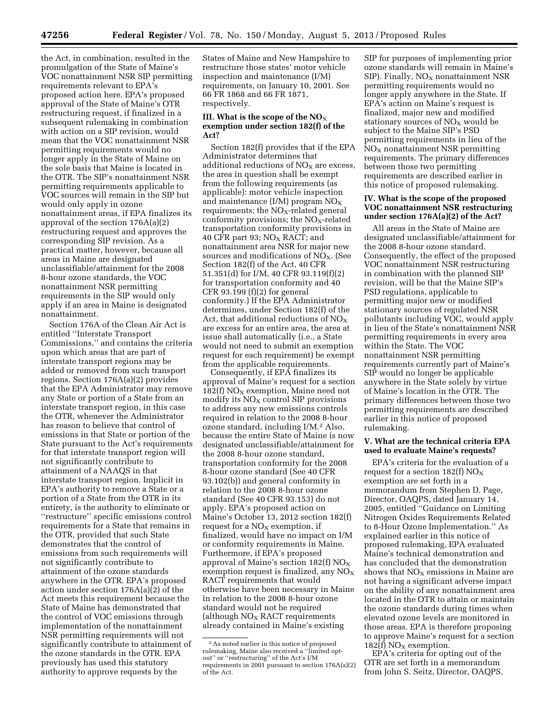the Act, in combination, resulted in the promulgation of the State of Maine's VOC nonattainment NSR SIP permitting requirements relevant to EPA's proposed action here. EPA's proposed approval of the State of Maine's OTR restructuring request, if finalized in a subsequent rulemaking in combination with action on a SIP revision, would mean that the VOC nonattainment NSR permitting requirements would no longer apply in the State of Maine on the sole basis that Maine is located in the OTR. The SIP's nonattainment NSR permitting requirements applicable to VOC sources will remain in the SIP but would only apply in ozone nonattainment areas, if EPA finalizes its approval of the section 176A(a)(2) restructuring request and approves the corresponding SIP revision. As a practical matter, however, because all areas in Maine are designated unclassifiable/attainment for the 2008 8-hour ozone standards, the VOC nonattainment NSR permitting requirements in the SIP would only apply if an area in Maine is designated nonattainment.

Section 176A of the Clean Air Act is entitled ''Interstate Transport Commissions,'' and contains the criteria upon which areas that are part of interstate transport regions may be added or removed from such transport regions. Section 176A(a)(2) provides that the EPA Administrator may remove any State or portion of a State from an interstate transport region, in this case the OTR, whenever the Administrator has reason to believe that control of emissions in that State or portion of the State pursuant to the Act's requirements for that interstate transport region will not significantly contribute to attainment of a NAAQS in that interstate transport region. Implicit in EPA's authority to remove a State or a portion of a State from the OTR in its entirety, is the authority to eliminate or ''restructure'' specific emissions control requirements for a State that remains in the OTR, provided that such State demonstrates that the control of emissions from such requirements will not significantly contribute to attainment of the ozone standards anywhere in the OTR. EPA's proposed action under section 176A(a)(2) of the Act meets this requirement because the State of Maine has demonstrated that the control of VOC emissions through implementation of the nonattainment NSR permitting requirements will not significantly contribute to attainment of the ozone standards in the OTR. EPA previously has used this statutory authority to approve requests by the

States of Maine and New Hampshire to restructure those states' motor vehicle inspection and maintenance (I/M) requirements, on January 10, 2001. See 66 FR 1868 and 66 FR 1871, respectively.

### **III.** What is the scope of the  $NO<sub>X</sub>$ **exemption under section 182(f) of the Act?**

Section 182(f) provides that if the EPA Administrator determines that additional reductions of  $NO<sub>X</sub>$  are excess, the area in question shall be exempt from the following requirements (as applicable): motor vehicle inspection and maintenance  $(I/M)$  program  $NO<sub>X</sub>$ requirements; the  $NO<sub>X</sub>$ -related general conformity provisions; the  $NO<sub>X</sub>$ -related transportation conformity provisions in 40 CFR part 93;  $NO<sub>x</sub>$  RACT; and nonattainment area NSR for major new sources and modifications of  $NO<sub>x</sub>$ . (See Section 182(f) of the Act, 40 CFR 51.351(d) for I/M, 40 CFR 93.119(f)(2) for transportation conformity and 40  $CFR$  93.199  $(f)(2)$  for general conformity.) If the EPA Administrator determines, under Section 182(f) of the Act, that additional reductions of  $NO<sub>x</sub>$ are excess for an entire area, the area at issue shall automatically (i.e., a State would not need to submit an exemption request for each requirement) be exempt from the applicable requirements.

Consequently, if EPA finalizes its approval of Maine's request for a section 182(f)  $NO<sub>X</sub>$  exemption, Maine need not modify its  $NO<sub>x</sub>$  control SIP provisions to address any new emissions controls required in relation to the 2008 8-hour ozone standard, including I/M.2 Also, because the entire State of Maine is now designated unclassifiable/attainment for the 2008 8-hour ozone standard, transportation conformity for the 2008 8-hour ozone standard (See 40 CFR 93.102(b)) and general conformity in relation to the 2008 8-hour ozone standard (See 40 CFR 93.153) do not apply. EPA's proposed action on Maine's October 13, 2012 section 182(f) request for a  $NO<sub>x</sub>$  exemption, if finalized, would have no impact on I/M or conformity requirements in Maine. Furthermore, if EPA's proposed approval of Maine's section  $182(f)$  NO<sub>X</sub> exemption request is finalized, any  $NO<sub>X</sub>$ RACT requirements that would otherwise have been necessary in Maine in relation to the 2008 8-hour ozone standard would not be required (although  $NO<sub>X</sub>$  RACT requirements already contained in Maine's existing

SIP for purposes of implementing prior ozone standards will remain in Maine's SIP). Finally,  $NO<sub>X</sub>$  nonattainment NSR permitting requirements would no longer apply anywhere in the State. If EPA's action on Maine's request is finalized, major new and modified stationary sources of  $NO<sub>X</sub>$  would be subject to the Maine SIP's PSD permitting requirements in lieu of the  $NO<sub>X</sub>$  nonattainment NSR permitting requirements. The primary differences between those two permitting requirements are described earlier in this notice of proposed rulemaking.

### **IV. What is the scope of the proposed VOC nonattainment NSR restructuring under section 176A(a)(2) of the Act?**

All areas in the State of Maine are designated unclassifiable/attainment for the 2008 8-hour ozone standard. Consequently, the effect of the proposed VOC nonattainment NSR restructuring in combination with the planned SIP revision, will be that the Maine SIP's PSD regulations, applicable to permitting major new or modified stationary sources of regulated NSR pollutants including VOC, would apply in lieu of the State's nonattainment NSR permitting requirements in every area within the State. The VOC nonattainment NSR permitting requirements currently part of Maine's SIP would no longer be applicable anywhere in the State solely by virtue of Maine's location in the OTR. The primary differences between those two permitting requirements are described earlier in this notice of proposed rulemaking.

## **V. What are the technical criteria EPA used to evaluate Maine's requests?**

EPA's criteria for the evaluation of a request for a section 182(f)  $NO_X$ exemption are set forth in a memorandum from Stephen D. Page, Director, OAQPS, dated January 14, 2005, entitled ''Guidance on Limiting Nitrogen Oxides Requirements Related to 8-Hour Ozone Implementation.'' As explained earlier in this notice of proposed rulemaking, EPA evaluated Maine's technical demonstration and has concluded that the demonstration shows that  $NO<sub>x</sub>$  emissions in Maine are not having a significant adverse impact on the ability of any nonattainment area located in the OTR to attain or maintain the ozone standards during times when elevated ozone levels are monitored in those areas. EPA is therefore proposing to approve Maine's request for a section 182(f)  $NO<sub>X</sub>$  exemption.

EPA's criteria for opting out of the OTR are set forth in a memorandum from John S. Seitz, Director, OAQPS,

<sup>2</sup>As noted earlier in this notice of proposed rulemaking, Maine also received a ''limited optout'' or ''restructuring'' of the Act's I/M requirements in 2001 pursuant to section  $176A(a)(2)$ of the Act.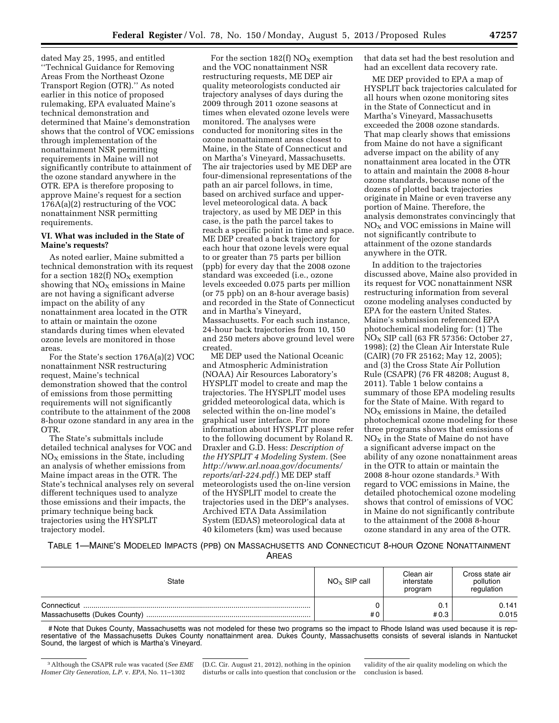dated May 25, 1995, and entitled ''Technical Guidance for Removing Areas From the Northeast Ozone Transport Region (OTR).'' As noted earlier in this notice of proposed rulemaking, EPA evaluated Maine's technical demonstration and determined that Maine's demonstration shows that the control of VOC emissions through implementation of the nonattainment NSR permitting requirements in Maine will not significantly contribute to attainment of the ozone standard anywhere in the OTR. EPA is therefore proposing to approve Maine's request for a section 176A(a)(2) restructuring of the VOC nonattainment NSR permitting requirements.

# **VI. What was included in the State of Maine's requests?**

As noted earlier, Maine submitted a technical demonstration with its request for a section  $182(f)$  NO<sub>X</sub> exemption showing that  $NO<sub>x</sub>$  emissions in Maine are not having a significant adverse impact on the ability of any nonattainment area located in the OTR to attain or maintain the ozone standards during times when elevated ozone levels are monitored in those areas.

For the State's section 176A(a)(2) VOC nonattainment NSR restructuring request, Maine's technical demonstration showed that the control of emissions from those permitting requirements will not significantly contribute to the attainment of the 2008 8-hour ozone standard in any area in the OTR.

The State's submittals include detailed technical analyses for VOC and  $NO<sub>x</sub>$  emissions in the State, including an analysis of whether emissions from Maine impact areas in the OTR. The State's technical analyses rely on several different techniques used to analyze those emissions and their impacts, the primary technique being back trajectories using the HYSPLIT trajectory model.

For the section  $182(f)$  NO<sub>X</sub> exemption and the VOC nonattainment NSR restructuring requests, ME DEP air quality meteorologists conducted air trajectory analyses of days during the 2009 through 2011 ozone seasons at times when elevated ozone levels were monitored. The analyses were conducted for monitoring sites in the ozone nonattainment areas closest to Maine, in the State of Connecticut and on Martha's Vineyard, Massachusetts. The air trajectories used by ME DEP are four-dimensional representations of the path an air parcel follows, in time, based on archived surface and upperlevel meteorological data. A back trajectory, as used by ME DEP in this case, is the path the parcel takes to reach a specific point in time and space. ME DEP created a back trajectory for each hour that ozone levels were equal to or greater than 75 parts per billion (ppb) for every day that the 2008 ozone standard was exceeded (i.e., ozone levels exceeded 0.075 parts per million (or 75 ppb) on an 8-hour average basis) and recorded in the State of Connecticut and in Martha's Vineyard, Massachusetts. For each such instance, 24-hour back trajectories from 10, 150 and 250 meters above ground level were created.

ME DEP used the National Oceanic and Atmospheric Administration (NOAA) Air Resources Laboratory's HYSPLIT model to create and map the trajectories. The HYSPLIT model uses gridded meteorological data, which is selected within the on-line model's graphical user interface. For more information about HYSPLIT please refer to the following document by Roland R. Draxler and G.D. Hess: *Description of the HYSPLIT 4 Modeling System.* (See *[http://www.arl.noaa.gov/documents/](http://www.arl.noaa.gov/documents/reports/arl-224.pdf) [reports/arl-224.pdf.](http://www.arl.noaa.gov/documents/reports/arl-224.pdf)*) ME DEP staff meteorologists used the on-line version of the HYSPLIT model to create the trajectories used in the DEP's analyses. Archived ETA Data Assimilation System (EDAS) meteorological data at 40 kilometers (km) was used because

that data set had the best resolution and had an excellent data recovery rate.

ME DEP provided to EPA a map of HYSPLIT back trajectories calculated for all hours when ozone monitoring sites in the State of Connecticut and in Martha's Vineyard, Massachusetts exceeded the 2008 ozone standards. That map clearly shows that emissions from Maine do not have a significant adverse impact on the ability of any nonattainment area located in the OTR to attain and maintain the 2008 8-hour ozone standards, because none of the dozens of plotted back trajectories originate in Maine or even traverse any portion of Maine. Therefore, the analysis demonstrates convincingly that  $NO<sub>x</sub>$  and VOC emissions in Maine will not significantly contribute to attainment of the ozone standards anywhere in the OTR.

In addition to the trajectories discussed above, Maine also provided in its request for VOC nonattainment NSR restructuring information from several ozone modeling analyses conducted by EPA for the eastern United States. Maine's submission referenced EPA photochemical modeling for: (1) The  $NO<sub>x</sub>$  SIP call (63 FR 57356: October 27, 1998); (2) the Clean Air Interstate Rule (CAIR) (70 FR 25162; May 12, 2005); and (3) the Cross State Air Pollution Rule (CSAPR) (76 FR 48208; August 8, 2011). Table 1 below contains a summary of those EPA modeling results for the State of Maine. With regard to  $NO<sub>X</sub>$  emissions in Maine, the detailed photochemical ozone modeling for these three programs shows that emissions of  $NO<sub>x</sub>$  in the State of Maine do not have a significant adverse impact on the ability of any ozone nonattainment areas in the OTR to attain or maintain the 2008 8-hour ozone standards.3 With regard to VOC emissions in Maine, the detailed photochemical ozone modeling shows that control of emissions of VOC in Maine do not significantly contribute to the attainment of the 2008 8-hour ozone standard in any area of the OTR.

TABLE 1—MAINE'S MODELED IMPACTS (PPB) ON MASSACHUSETTS AND CONNECTICUT 8-HOUR OZONE NONATTAINMENT **ARFAS** 

| State | $NO_x$ SIP call | Clean air<br>interstate<br>program | Cross state air<br>pollution<br>regulation |
|-------|-----------------|------------------------------------|--------------------------------------------|
|       | #0              | #0.3                               | 0.141<br>0.015                             |

# Note that Dukes County, Massachusetts was not modeled for these two programs so the impact to Rhode Island was used because it is representative of the Massachusetts Dukes County nonattainment area. Dukes County, Massachusetts consists of several islands in Nantucket Sound, the largest of which is Martha's Vineyard.

(D.C. Cir. August 21, 2012), nothing in the opinion disturbs or calls into question that conclusion or the

<sup>3</sup>Although the CSAPR rule was vacated (*See EME Homer City Generation, L.P.* v. *EPA,* No. 11–1302

validity of the air quality modeling on which the conclusion is based.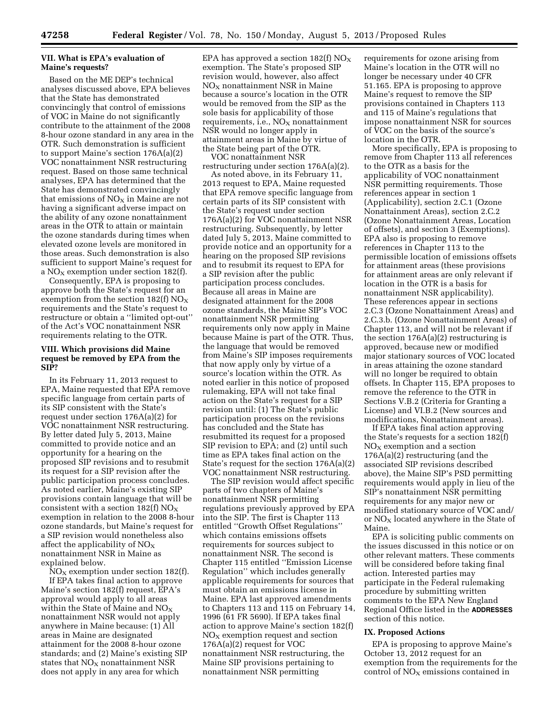## **VII. What is EPA's evaluation of Maine's requests?**

Based on the ME DEP's technical analyses discussed above, EPA believes that the State has demonstrated convincingly that control of emissions of VOC in Maine do not significantly contribute to the attainment of the 2008 8-hour ozone standard in any area in the OTR. Such demonstration is sufficient to support Maine's section 176A(a)(2) VOC nonattainment NSR restructuring request. Based on those same technical analyses, EPA has determined that the State has demonstrated convincingly that emissions of  $NO<sub>X</sub>$  in Maine are not having a significant adverse impact on the ability of any ozone nonattainment areas in the OTR to attain or maintain the ozone standards during times when elevated ozone levels are monitored in those areas. Such demonstration is also sufficient to support Maine's request for a NO<sub>X</sub> exemption under section 182(f).

Consequently, EPA is proposing to approve both the State's request for an exemption from the section 182(f)  $NO_X$ requirements and the State's request to restructure or obtain a ''limited opt-out'' of the Act's VOC nonattainment NSR requirements relating to the OTR.

## **VIII. Which provisions did Maine request be removed by EPA from the SIP?**

In its February 11, 2013 request to EPA, Maine requested that EPA remove specific language from certain parts of its SIP consistent with the State's request under section 176A(a)(2) for VOC nonattainment NSR restructuring. By letter dated July 5, 2013, Maine committed to provide notice and an opportunity for a hearing on the proposed SIP revisions and to resubmit its request for a SIP revision after the public participation process concludes. As noted earlier, Maine's existing SIP provisions contain language that will be consistent with a section 182(f)  $NO_X$ exemption in relation to the 2008 8-hour ozone standards, but Maine's request for a SIP revision would nonetheless also affect the applicability of  $NO<sub>x</sub>$ nonattainment NSR in Maine as explained below.

 $NO<sub>X</sub>$  exemption under section 182(f). If EPA takes final action to approve Maine's section 182(f) request, EPA's approval would apply to all areas within the State of Maine and  $NO_X$ nonattainment NSR would not apply anywhere in Maine because: (1) All areas in Maine are designated attainment for the 2008 8-hour ozone standards; and (2) Maine's existing SIP states that  $NO<sub>x</sub>$  nonattainment NSR does not apply in any area for which

EPA has approved a section  $182(f)$  NO<sub>X</sub> exemption. The State's proposed SIP revision would, however, also affect  $NO<sub>X</sub>$  nonattainment NSR in Maine because a source's location in the OTR would be removed from the SIP as the sole basis for applicability of those requirements, i.e.,  $NO<sub>X</sub>$  nonattainment NSR would no longer apply in attainment areas in Maine by virtue of the State being part of the OTR.

VOC nonattainment NSR restructuring under section 176A(a)(2).

As noted above, in its February 11, 2013 request to EPA, Maine requested that EPA remove specific language from certain parts of its SIP consistent with the State's request under section 176A(a)(2) for VOC nonattainment NSR restructuring. Subsequently, by letter dated July 5, 2013, Maine committed to provide notice and an opportunity for a hearing on the proposed SIP revisions and to resubmit its request to EPA for a SIP revision after the public participation process concludes. Because all areas in Maine are designated attainment for the 2008 ozone standards, the Maine SIP's VOC nonattainment NSR permitting requirements only now apply in Maine because Maine is part of the OTR. Thus, the language that would be removed from Maine's SIP imposes requirements that now apply only by virtue of a source's location within the OTR. As noted earlier in this notice of proposed rulemaking, EPA will not take final action on the State's request for a SIP revision until: (1) The State's public participation process on the revisions has concluded and the State has resubmitted its request for a proposed SIP revision to  $EPA$ ; and  $(2)$  until such time as EPA takes final action on the State's request for the section 176A(a)(2) VOC nonattainment NSR restructuring.

The SIP revision would affect specific parts of two chapters of Maine's nonattainment NSR permitting regulations previously approved by EPA into the SIP. The first is Chapter 113 entitled ''Growth Offset Regulations'' which contains emissions offsets requirements for sources subject to nonattainment NSR. The second is Chapter 115 entitled ''Emission License Regulation'' which includes generally applicable requirements for sources that must obtain an emissions license in Maine. EPA last approved amendments to Chapters 113 and 115 on February 14, 1996 (61 FR 5690). If EPA takes final action to approve Maine's section 182(f)  $NO<sub>x</sub>$  exemption request and section 176A(a)(2) request for VOC nonattainment NSR restructuring, the Maine SIP provisions pertaining to nonattainment NSR permitting

requirements for ozone arising from Maine's location in the OTR will no longer be necessary under 40 CFR 51.165. EPA is proposing to approve Maine's request to remove the SIP provisions contained in Chapters 113 and 115 of Maine's regulations that impose nonattainment NSR for sources of VOC on the basis of the source's location in the OTR.

More specifically, EPA is proposing to remove from Chapter 113 all references to the OTR as a basis for the applicability of VOC nonattainment NSR permitting requirements. Those references appear in section 1 (Applicability), section 2.C.1 (Ozone Nonattainment Areas), section 2.C.2 (Ozone Nonattainment Areas, Location of offsets), and section 3 (Exemptions). EPA also is proposing to remove references in Chapter 113 to the permissible location of emissions offsets for attainment areas (these provisions for attainment areas are only relevant if location in the OTR is a basis for nonattainment NSR applicability). These references appear in sections 2.C.3 (Ozone Nonattainment Areas) and 2.C.3.b. (Ozone Nonattainment Areas) of Chapter 113, and will not be relevant if the section 176A(a)(2) restructuring is approved, because new or modified major stationary sources of VOC located in areas attaining the ozone standard will no longer be required to obtain offsets. In Chapter 115, EPA proposes to remove the reference to the OTR in Sections V.B.2 (Criteria for Granting a License) and VI.B.2 (New sources and modifications, Nonattainment areas).

If EPA takes final action approving the State's requests for a section 182(f)  $NO<sub>X</sub>$  exemption and a section 176A(a)(2) restructuring (and the associated SIP revisions described above), the Maine SIP's PSD permitting requirements would apply in lieu of the SIP's nonattainment NSR permitting requirements for any major new or modified stationary source of VOC and/ or  $NO<sub>X</sub>$  located anywhere in the State of Maine.

EPA is soliciting public comments on the issues discussed in this notice or on other relevant matters. These comments will be considered before taking final action. Interested parties may participate in the Federal rulemaking procedure by submitting written comments to the EPA New England Regional Office listed in the **ADDRESSES** section of this notice.

#### **IX. Proposed Actions**

EPA is proposing to approve Maine's October 13, 2012 request for an exemption from the requirements for the control of  $NO<sub>X</sub>$  emissions contained in